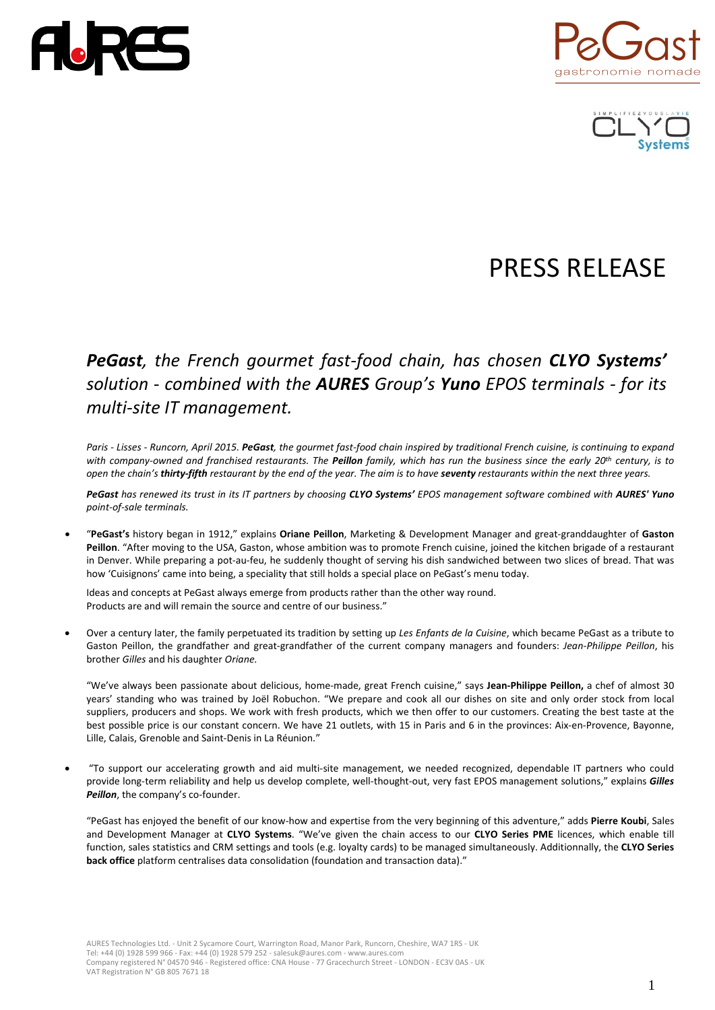



# PRESS RELEASE

# *PeGast, the French gourmet fast-food chain, has chosen CLYO Systems' solution - combined with the AURES Group's Yuno EPOS terminals - for its multi-site IT management.*

*Paris - Lisses - Runcorn, April 2015. PeGast, the gourmet fast-food chain inspired by traditional French cuisine, is continuing to expand with company-owned and franchised restaurants. The Peillon family, which has run the business since the early 20th century, is to open the chain's thirty-fifth restaurant by the end of the year. The aim is to have seventy restaurants within the next three years.*

*PeGast has renewed its trust in its IT partners by choosing CLYO Systems' EPOS management software combined with AURES' Yuno point-of-sale terminals.*

• "**PeGast's** history began in 1912," explains **Oriane Peillon**, Marketing & Development Manager and great-granddaughter of **Gaston Peillon**. "After moving to the USA, Gaston, whose ambition was to promote French cuisine, joined the kitchen brigade of a restaurant in Denver. While preparing a pot-au-feu, he suddenly thought of serving his dish sandwiched between two slices of bread. That was how 'Cuisignons' came into being, a speciality that still holds a special place on PeGast's menu today.

Ideas and concepts at PeGast always emerge from products rather than the other way round. Products are and will remain the source and centre of our business."

• Over a century later, the family perpetuated its tradition by setting up *Les Enfants de la Cuisine*, which became PeGast as a tribute to Gaston Peillon, the grandfather and great-grandfather of the current company managers and founders: *Jean-Philippe Peillon*, his brother *Gilles* and his daughter *Oriane.*

"We've always been passionate about delicious, home-made, great French cuisine," says **Jean-Philippe Peillon,** a chef of almost 30 years' standing who was trained by Joël Robuchon. "We prepare and cook all our dishes on site and only order stock from local suppliers, producers and shops. We work with fresh products, which we then offer to our customers. Creating the best taste at the best possible price is our constant concern. We have 21 outlets, with 15 in Paris and 6 in the provinces: Aix-en-Provence, Bayonne, Lille, Calais, Grenoble and Saint-Denis in La Réunion."

• "To support our accelerating growth and aid multi-site management, we needed recognized, dependable IT partners who could provide long-term reliability and help us develop complete, well-thought-out, very fast EPOS management solutions," explains *Gilles Peillon*, the company's co-founder.

"PeGast has enjoyed the benefit of our know-how and expertise from the very beginning of this adventure," adds **Pierre Koubi**, Sales and Development Manager at **CLYO Systems**. "We've given the chain access to our **CLYO Series PME** licences, which enable till function, sales statistics and CRM settings and tools (e.g. loyalty cards) to be managed simultaneously. Additionnally, the **CLYO Series back office** platform centralises data consolidation (foundation and transaction data)."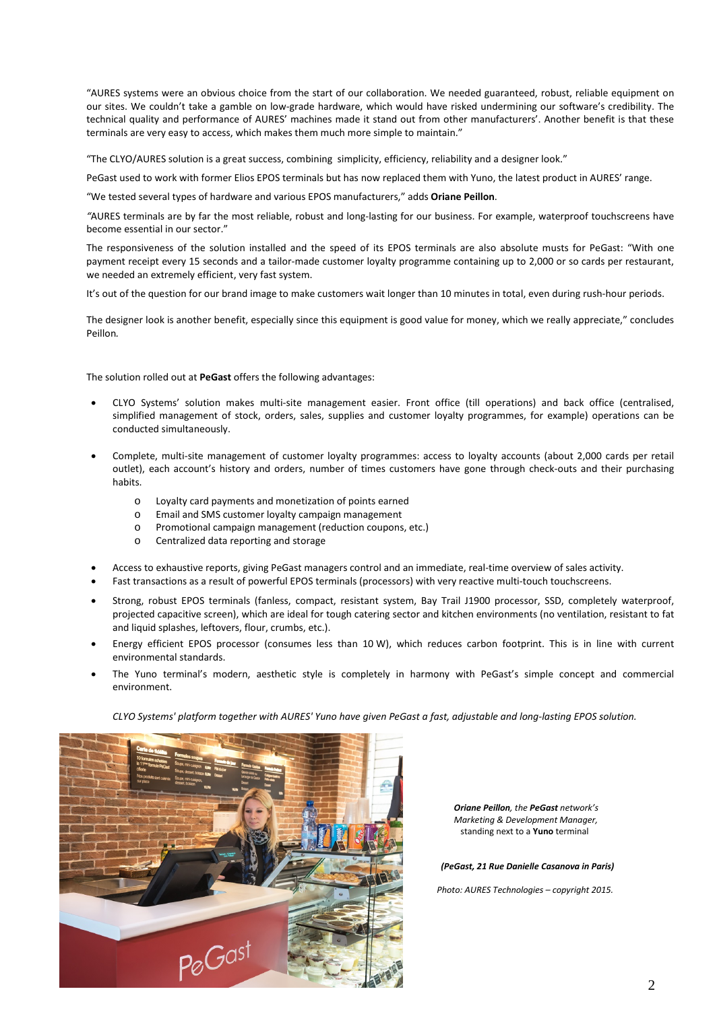"AURES systems were an obvious choice from the start of our collaboration. We needed guaranteed, robust, reliable equipment on our sites. We couldn't take a gamble on low-grade hardware, which would have risked undermining our software's credibility. The technical quality and performance of AURES' machines made it stand out from other manufacturers'. Another benefit is that these terminals are very easy to access, which makes them much more simple to maintain."

"The CLYO/AURES solution is a great success, combining simplicity, efficiency, reliability and a designer look."

PeGast used to work with former Elios EPOS terminals but has now replaced them with Yuno, the latest product in AURES' range.

"We tested several types of hardware and various EPOS manufacturers," adds **Oriane Peillon**.

*"*AURES terminals are by far the most reliable, robust and long-lasting for our business. For example, waterproof touchscreens have become essential in our sector."

The responsiveness of the solution installed and the speed of its EPOS terminals are also absolute musts for PeGast: "With one payment receipt every 15 seconds and a tailor-made customer loyalty programme containing up to 2,000 or so cards per restaurant, we needed an extremely efficient, very fast system.

It's out of the question for our brand image to make customers wait longer than 10 minutes in total, even during rush-hour periods.

The designer look is another benefit, especially since this equipment is good value for money, which we really appreciate," concludes Peillon*.*

The solution rolled out at **PeGast** offers the following advantages:

- CLYO Systems' solution makes multi-site management easier. Front office (till operations) and back office (centralised, simplified management of stock, orders, sales, supplies and customer loyalty programmes, for example) operations can be conducted simultaneously.
- Complete, multi-site management of customer loyalty programmes: access to loyalty accounts (about 2,000 cards per retail outlet), each account's history and orders, number of times customers have gone through check-outs and their purchasing habits.
	- o Loyalty card payments and monetization of points earned
	- o Email and SMS customer loyalty campaign management
	- o Promotional campaign management (reduction coupons, etc.)
	- o Centralized data reporting and storage
- Access to exhaustive reports, giving PeGast managers control and an immediate, real-time overview of sales activity.
- Fast transactions as a result of powerful EPOS terminals (processors) with very reactive multi-touch touchscreens.
- Strong, robust EPOS terminals (fanless, compact, resistant system, Bay Trail J1900 processor, SSD, completely waterproof, projected capacitive screen), which are ideal for tough catering sector and kitchen environments (no ventilation, resistant to fat and liquid splashes, leftovers, flour, crumbs, etc.).
- Energy efficient EPOS processor (consumes less than 10 W), which reduces carbon footprint. This is in line with current environmental standards.
- The Yuno terminal's modern, aesthetic style is completely in harmony with PeGast's simple concept and commercial environment.

*CLYO Systems' platform together with AURES' Yuno have given PeGast a fast, adjustable and long-lasting EPOS solution.*



 *Oriane Peillon, the PeGast network's Marketing & Development Manager,*  standing next to a **Yuno** terminal

 *(PeGast, 21 Rue Danielle Casanova in Paris)*

 *Photo: AURES Technologies – copyright 2015.*